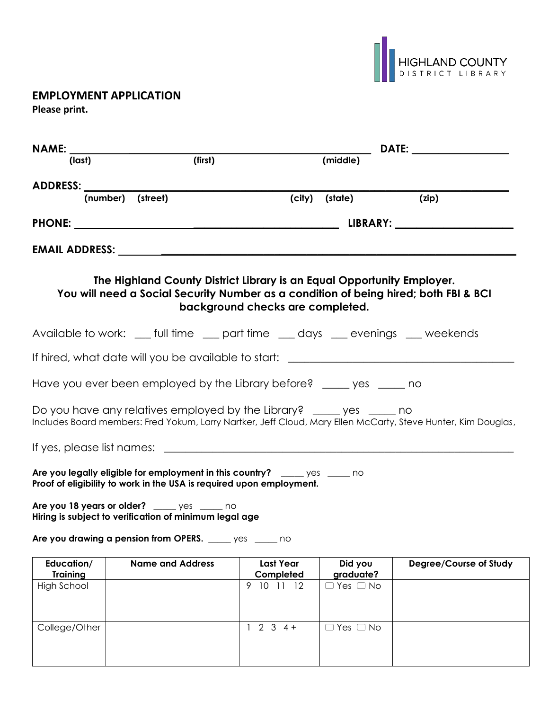

## **EMPLOYMENT APPLICATION**

**Please print.**

|                               |                                                                                                                                                                                        |                                  |                      | DATE: _________________ |  |
|-------------------------------|----------------------------------------------------------------------------------------------------------------------------------------------------------------------------------------|----------------------------------|----------------------|-------------------------|--|
| (last)                        | (first)                                                                                                                                                                                |                                  | (middle)             |                         |  |
|                               |                                                                                                                                                                                        |                                  |                      |                         |  |
|                               | (number) (street)                                                                                                                                                                      | (city)                           | (state)              | (zip)                   |  |
|                               |                                                                                                                                                                                        |                                  |                      |                         |  |
|                               |                                                                                                                                                                                        |                                  |                      |                         |  |
|                               | The Highland County District Library is an Equal Opportunity Employer.<br>You will need a Social Security Number as a condition of being hired; both FBI & BCI                         | background checks are completed. |                      |                         |  |
|                               | Available to work: __ full time __ part time __ days __ evenings __ weekends                                                                                                           |                                  |                      |                         |  |
|                               | If hired, what date will you be available to start: ____________________________                                                                                                       |                                  |                      |                         |  |
|                               | Have you ever been employed by the Library before? _____ yes _____ no                                                                                                                  |                                  |                      |                         |  |
|                               | Do you have any relatives employed by the Library? _____ yes _____ no<br>Includes Board members: Fred Yokum, Larry Nartker, Jeff Cloud, Mary Ellen McCarty, Steve Hunter, Kim Douglas, |                                  |                      |                         |  |
|                               |                                                                                                                                                                                        |                                  |                      |                         |  |
|                               | Are you legally eligible for employment in this country? ______ yes ______ no<br>Proof of eligibility to work in the USA is required upon employment.                                  |                                  |                      |                         |  |
|                               | Are you 18 years or older? _____ yes _____ no<br>Hiring is subject to verification of minimum legal age                                                                                |                                  |                      |                         |  |
|                               | Are you drawing a pension from OPERS. _____ yes _____ no                                                                                                                               |                                  |                      |                         |  |
| Education/<br><b>Training</b> | <b>Name and Address</b>                                                                                                                                                                | <b>Last Year</b><br>Completed    | Did you<br>graduate? | Degree/Course of Study  |  |
| <b>High School</b>            |                                                                                                                                                                                        | 9 10 11 12                       | Yes $\Box$ No        |                         |  |
|                               |                                                                                                                                                                                        |                                  |                      |                         |  |
| College/Other                 |                                                                                                                                                                                        | $2 \t3 \t4 +$<br>1               | $\Box$ Yes $\Box$ No |                         |  |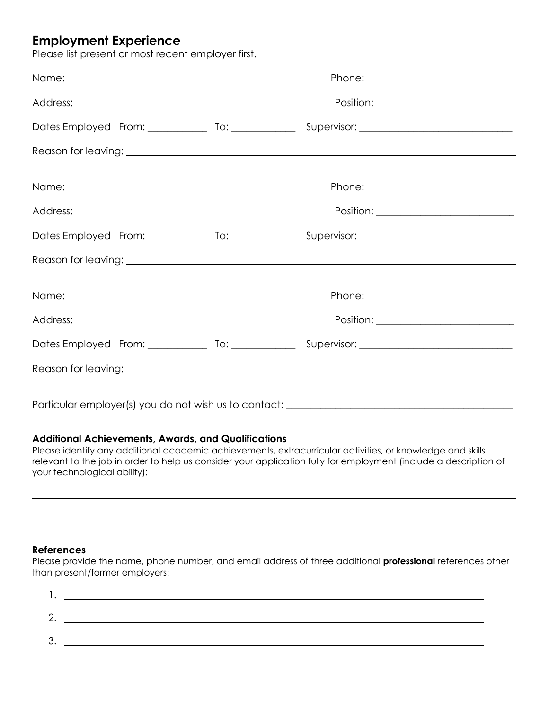# **Employment Experience**

Please list present or most recent employer first.

|  | Name: <u>Name:</u> 2008.com 2008.com 2008.com 2008.com 2008.com 2008.com 2008.com 2008.com 2008.com 2008.com 2008.com 2008.com 2008.com 2008.com 2008.com 2008.com 2008.com 2008.com 2008.com 2008.com 2008.com 2008.com 2008.com 2 |  |
|--|-------------------------------------------------------------------------------------------------------------------------------------------------------------------------------------------------------------------------------------|--|
|  |                                                                                                                                                                                                                                     |  |
|  |                                                                                                                                                                                                                                     |  |
|  |                                                                                                                                                                                                                                     |  |
|  | Name: <u>Name:</u> 2008.com 2008.com 2008.com 2008.com 2008.com 2008.com 2008.com 2008.com 2008.com 2008.com 2008.com 2008.com 2008.com 2008.com 2008.com 2008.com 2008.com 2008.com 2008.com 2008.com 2008.com 2008.com 2008.com 2 |  |
|  |                                                                                                                                                                                                                                     |  |
|  |                                                                                                                                                                                                                                     |  |
|  |                                                                                                                                                                                                                                     |  |
|  |                                                                                                                                                                                                                                     |  |
|  |                                                                                                                                                                                                                                     |  |
|  |                                                                                                                                                                                                                                     |  |
|  |                                                                                                                                                                                                                                     |  |
|  |                                                                                                                                                                                                                                     |  |

Particular employer(s) you do not wish us to contact: \_\_\_\_\_\_\_\_\_\_\_\_\_\_\_\_\_\_\_\_\_\_\_\_\_\_

#### **Additional Achievements, Awards, and Qualifications**

Please identify any additional academic achievements, extracurricular activities, or knowledge and skills relevant to the job in order to help us consider your application fully for employment (include a description of your technological ability):

#### **References**

Please provide the name, phone number, and email address of three additional **professional** references other than present/former employers: